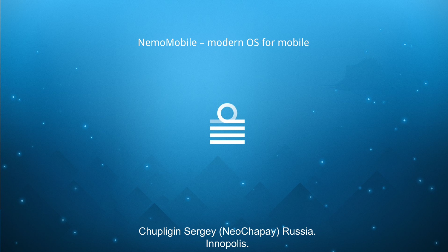#### NemoMobile – modern OS for mobile

≝

e a chupligin Sergey (NeoChapay) Russia. Innopolis.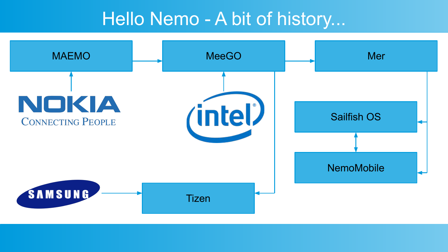#### Hello Nemo - A bit of history...

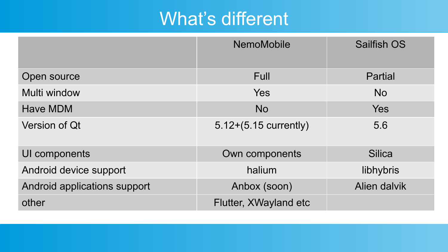### What's different

|                              | <b>NemoMobile</b>       | <b>Sailfish OS</b> |
|------------------------------|-------------------------|--------------------|
| Open source                  | Full                    | Partial            |
| Multi window                 | <b>Yes</b>              | <b>No</b>          |
| Have MDM                     | <b>No</b>               | <b>Yes</b>         |
| Version of Qt                | $5.12+(5.15$ currently) | 5.6                |
| UI components                | Own components          | <b>Silica</b>      |
| Android device support       | halium                  | libhybris          |
| Android applications support | Anbox (soon)            | Alien dalvik       |
| other                        | Flutter, XWayland etc   |                    |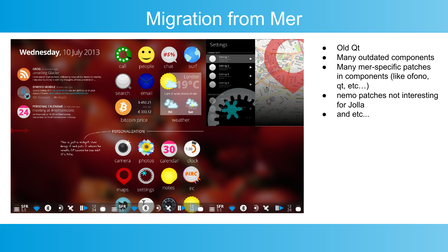## Migration from Mer



- Old Qt
- Many outdated components
- Many mer-specific patches in components (like ofono, qt, etc…)
- nemo patches not interesting for Jolla
- and etc...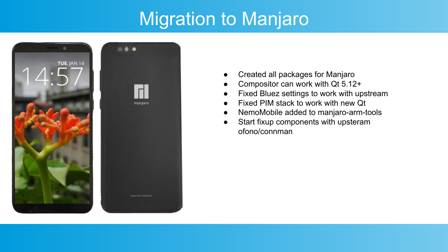#### Migration to Manjaro





- Created all packages for Manjaro
- Compositor can work with Qt  $5.12+$
- Fixed Bluez settings to work with upstream
- Fixed PIM stack to work with new Qt
- NemoMobile added to manjaro-arm-tools
- Start fixup components with upsteram ofono/connman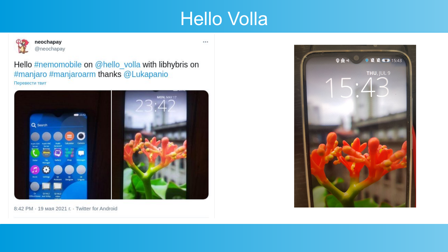#### Hello Volla

 $...$ 



neochapay @neochapay

Hello #nemomobile on @hello\_volla with libhybris on #manjaro #manjaroarm thanks @Lukapanio Перевести твит



8:42 PM · 19 мая 2021 г. · Twitter for Android

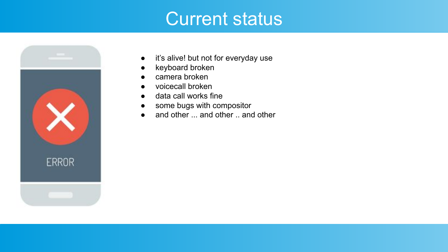### Current status



- it's alive! but not for everyday use
- keyboard broken
- camera broken
- voicecall broken
- data call works fine
- some bugs with compositor
- and other ... and other .. and other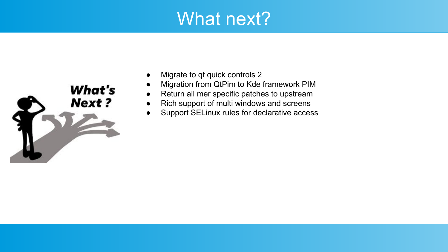### What next?



- Migrate to qt quick controls 2
- Migration from QtPim to Kde framework PIM
- Return all mer specific patches to upstream
- Rich support of multi windows and screens
- Support SELinux rules for declarative access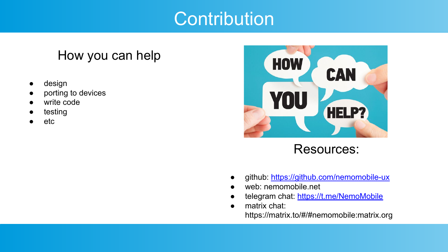#### **Contribution**

#### How you can help

- design
- porting to devices
- write code
- testing
- etc



Resources:

- github: <https://github.com/nemomobile-ux>
- web: nemomobile.net
- telegram chat:<https://t.me/NemoMobile>
- matrix chat:

https://matrix.to/#/#nemomobile:matrix.org